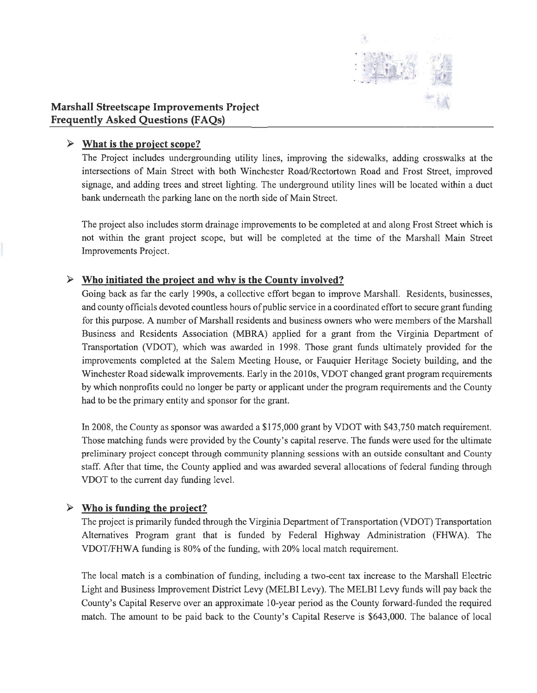

## **Marshall Streetscape Improvements Project Frequently Asked Questions (FAQs)**

## • **What is the project scope?**

The Project includes undergrounding utility lines, improving the sidewalks, adding crosswalks at the intersections of Main Street with both Winchester Road/Rectortown Road and Frost Street, improved signage, and adding trees and street lighting. The underground utility lines will be located within a duct bank underneath the parking lane on the north side of Main Street.

The project also includes storm drainage improvements to be completed at and along Frost Street which is not within the grant project scope, but will be completed at the time of the Marshall Main Street Improvements Project.

## • **Who initiated the project and why is the County involved?**

Going back as far the early 1990s, a collective effort began to improve Marshall. Residents, businesses, and county officials devoted countless hours of public service in a coordinated effort to secure grant funding for this purpose. A number of Marshall residents and business owners who were members of the Marshall Business and Residents Association (MBRA) applied for a grant from the Virginia Department of Transportation (VDOT), which was awarded in 1998. Those grant funds ultimately provided for the improvements completed at the Salem Meeting House, or Fauquier Heritage Society building, and the Winchester Road sidewalk improvements. Early in the 2010s, VDOT changed grant program requirements by which nonprofits could no longer be party or applicant under the program requirements and the County had to be the primary entity and sponsor for the grant.

In 2008, the County as sponsor was awarded a \$175,000 grant by VDOT with \$43,750 match requirement. Those matching funds were provided by the County's capital reserve. The funds were used for the ultimate preliminary project concept through community planning sessions with an outside consultant and County staff. After that time, the County applied and was awarded several allocations of federal funding through VDOT to the current day funding level.

## $\triangleright$  Who is funding the project?

The project is primarily funded through the Virginia Department of Transportation (VDOT) Transportation Alternatives Program grant that is funded by Federal Highway Administration (FHWA). The VDOT/FHWA funding is 80% of the funding, with 20% local match requirement.

The local match is a combination of funding, including a two-cent tax increase to the Marshall Electric Light and Business Improvement District Levy (MELBI Levy). The MELBI Levy funds will pay back the County's Capital Reserve over an approximate 10-year period as the County forward-funded the required match. The amount to be paid back to the County's Capital Reserve is \$643,000. The balance of local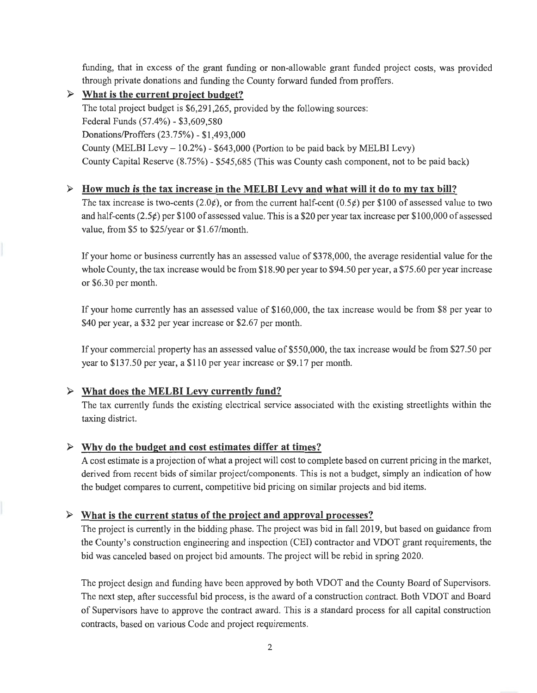funding, that in excess of the grant funding or non-allowable grant funded project costs, was provided through private donations and funding the County forward funded from proffers.

### • **What is the current project budget?**

The total project budget is \$6,291,265, provided by the following sources: Federal Funds (57.4%) - \$3,609,580 Donations/Proffers (23.75%) - \$1,493,000 County (MELBI Levy - 10.2%) - \$643,000 (Portion to be paid back by MELBI Levy) County Capital Reserve (8.75%) - \$545,685 (This was County cash component, not to be paid back)

### • **How much is the tax increase in the MELBI Levy and what will it do to my tax bill?**

The tax increase is two-cents (2.0 $\phi$ ), or from the current half-cent (0.5 $\phi$ ) per \$100 of assessed value to two and half-cents (2.5¢) per \$100 of assessed value. This is a \$20 per year tax increase per \$100,000 of assessed value, from \$5 to \$25/year or \$1.67/month.

If your home or business currently has an assessed value of \$378,000, the average residential value for the whole County, the tax increase would be from \$18.90 per year to \$94.50 per year, a \$75.60 per year increase or \$6.30 per month.

If your home currently has an assessed value of \$160,000, the tax increase would be from \$8 per year to \$40 per year, a \$32 per year increase or \$2.67 per month.

If your commercial property has an assessed value of \$550,000, the tax increase would be from \$27.50 per year to \$137.50 per year, a \$110 per year increase or \$9.17 per month.

## • **What does the MELBI Levy currently fund?**

The tax currently funds the existing electrical service associated with the existing streetlights within the taxing district.

## • **Why do the budget and cost estimates differ at times?**

A cost estimate is a projection of what a project will cost to complete based on current pricing in the market, derived from recent bids of similar project/components. This is not a budget, simply an indication of how the budget compares to current, competitive bid pricing on similar projects and bid items.

## • **What is the current status of the proiect and approval processes?**

The project is currently in the bidding phase. The project was bid in fall 2019, but based on guidance from the County's construction engineering and inspection (CEI) contractor and VDOT grant requirements, the bid was canceled based on project bid amounts. The project will be rebid in spring 2020.

The project design and funding have been approved by both VDOT and the County Board of Supervisors. The next step, after successful bid process, is the award of a construction contract. Both VDOT and Board of Supervisors have to approve the contract award. This is a standard process for all capital construction contracts, based on various Code and project requirements.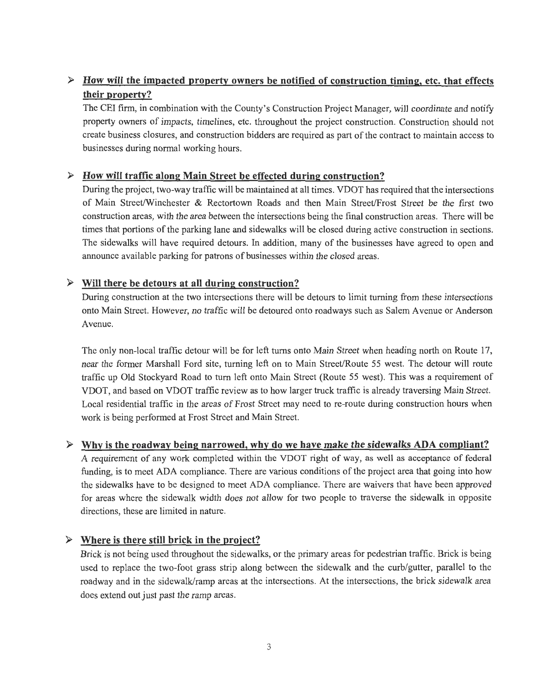# • **How will the impacted property owners be notified of construction timing, etc. that effects their property?**

The CEI firm, in combination with the County's Construction Project Manager, will coordinate and notify property owners of impacts, timelines, etc. throughout the project construction. Construction should not create business closures, and construction bidders are required as part of the contract to maintain access to businesses during normal working hours.

### • **How will traffic along Main Street be effected during construction?**

During the project, two-way traffic will be maintained at all times. VDOT has required that the intersections of Main Street/Winchester & Rectortown Roads and then Main Street/Frost Street be the first two construction areas, with the area between the intersections being the final construction areas. There will be times that portions of the parking lane and sidewalks will be closed during active construction in sections. The sidewalks will have required detours. In addition, many of the businesses have agreed to open and announce available parking for patrons of businesses within the closed areas.

#### • **Will there be detours at all during construction?**

During construction at the two intersections there will be detours to limit turning from these intersections onto Main Street. However, no traffic will be detoured onto roadways such as Salem A venue or Anderson Avenue.

The only non-local traffic detour will be for left turns onto Main Street when heading north on Route 17, near the former Marshall Ford site, turning left on to Main Street/Route 55 west. The detour will route traffic up Old Stockyard Road to turn left onto Main Street (Route 55 west). This was a requirement of VDOT, and based on VDOT traffic review as to how larger truck traffic is already traversing Main Street. Local residential traffic in the areas of Frost Street may need to re-route during construction hours when work is being performed at Frost Street and Main Street.

#### • **Why is the roadway being narrowed, why do we have make the sidewalks ADA compliant?**

A requirement of any work completed within the VDOT right of way, as well as acceptance of federal funding, is to meet ADA compliance. There are various conditions of the project area that going into how the sidewalks have to be designed to meet ADA compliance. There are waivers that have been approved for areas where the sidewalk width does not allow for two people to traverse the sidewalk in opposite directions, these are limited in nature.

## • **Where is there still brick in the project?**

Brick is not being used throughout the sidewalks, or the primary areas for pedestrian traffic. Brick is being used to replace the two-foot grass strip along between the sidewalk and the curb/gutter, parallel to the roadway and in the sidewalk/ramp areas at the intersections. At the intersections, the brick sidewalk area does extend out just past the ramp areas.